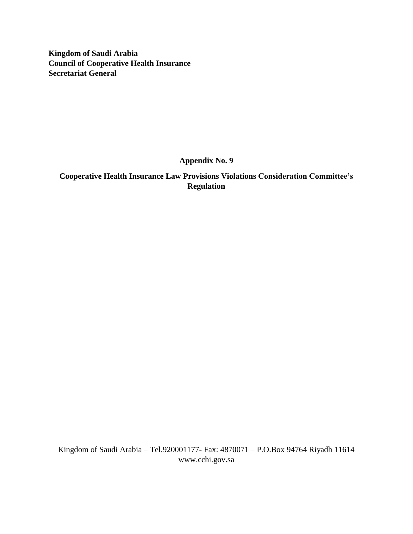**Kingdom of Saudi Arabia Council of Cooperative Health Insurance Secretariat General** 

**Appendix No. 9**

**Cooperative Health Insurance Law Provisions Violations Consideration Committee's Regulation**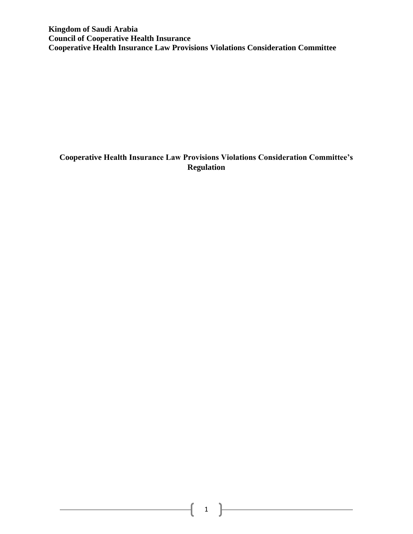**Kingdom of Saudi Arabia Council of Cooperative Health Insurance Cooperative Health Insurance Law Provisions Violations Consideration Committee**

# **Cooperative Health Insurance Law Provisions Violations Consideration Committee's Regulation**

 $\begin{picture}(150,10) \put(0,0){\vector(1,0){100}} \put(15,0){\vector(1,0){100}} \put(15,0){\vector(1,0){100}} \put(15,0){\vector(1,0){100}} \put(15,0){\vector(1,0){100}} \put(15,0){\vector(1,0){100}} \put(15,0){\vector(1,0){100}} \put(15,0){\vector(1,0){100}} \put(15,0){\vector(1,0){100}} \put(15,0){\vector(1,0){100}} \put(15,0){\vector(1,0){100}}$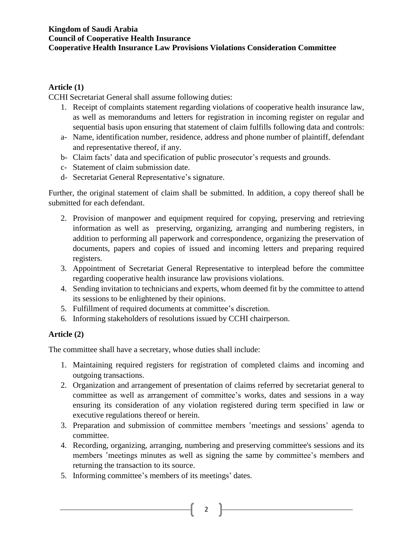#### **Kingdom of Saudi Arabia Council of Cooperative Health Insurance Cooperative Health Insurance Law Provisions Violations Consideration Committee**

#### **Article (1)**

CCHI Secretariat General shall assume following duties:

- 1. Receipt of complaints statement regarding violations of cooperative health insurance law, as well as memorandums and letters for registration in incoming register on regular and sequential basis upon ensuring that statement of claim fulfills following data and controls:
- a- Name, identification number, residence, address and phone number of plaintiff, defendant and representative thereof, if any.
- b- Claim facts' data and specification of public prosecutor's requests and grounds.
- c- Statement of claim submission date.
- d- Secretariat General Representative's signature.

Further, the original statement of claim shall be submitted. In addition, a copy thereof shall be submitted for each defendant.

- 2. Provision of manpower and equipment required for copying, preserving and retrieving information as well as preserving, organizing, arranging and numbering registers, in addition to performing all paperwork and correspondence, organizing the preservation of documents, papers and copies of issued and incoming letters and preparing required registers.
- 3. Appointment of Secretariat General Representative to interplead before the committee regarding cooperative health insurance law provisions violations.
- 4. Sending invitation to technicians and experts, whom deemed fit by the committee to attend its sessions to be enlightened by their opinions.
- 5. Fulfillment of required documents at committee's discretion.
- 6. Informing stakeholders of resolutions issued by CCHI chairperson.

### **Article (2)**

The committee shall have a secretary, whose duties shall include:

- 1. Maintaining required registers for registration of completed claims and incoming and outgoing transactions.
- 2. Organization and arrangement of presentation of claims referred by secretariat general to committee as well as arrangement of committee's works, dates and sessions in a way ensuring its consideration of any violation registered during term specified in law or executive regulations thereof or herein.
- 3. Preparation and submission of committee members 'meetings and sessions' agenda to committee.
- 4. Recording, organizing, arranging, numbering and preserving committee's sessions and its members 'meetings minutes as well as signing the same by committee's members and returning the transaction to its source.

2  $\uparrow$ 

5. Informing committee's members of its meetings' dates.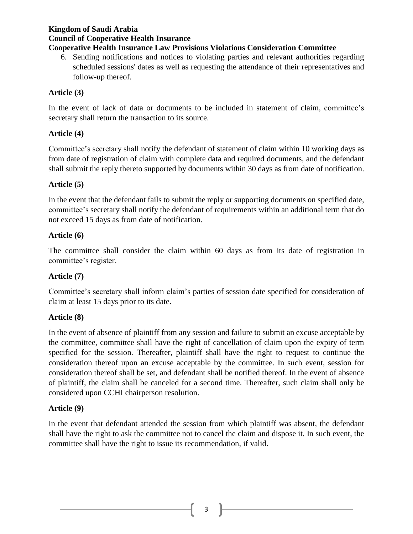## **Kingdom of Saudi Arabia Council of Cooperative Health Insurance**

# **Cooperative Health Insurance Law Provisions Violations Consideration Committee**

6. Sending notifications and notices to violating parties and relevant authorities regarding scheduled sessions' dates as well as requesting the attendance of their representatives and follow-up thereof.

# **Article (3)**

In the event of lack of data or documents to be included in statement of claim, committee's secretary shall return the transaction to its source.

## **Article (4)**

Committee's secretary shall notify the defendant of statement of claim within 10 working days as from date of registration of claim with complete data and required documents, and the defendant shall submit the reply thereto supported by documents within 30 days as from date of notification.

## **Article (5)**

In the event that the defendant fails to submit the reply or supporting documents on specified date, committee's secretary shall notify the defendant of requirements within an additional term that do not exceed 15 days as from date of notification.

### **Article (6)**

The committee shall consider the claim within 60 days as from its date of registration in committee's register.

### **Article (7)**

Committee's secretary shall inform claim's parties of session date specified for consideration of claim at least 15 days prior to its date.

### **Article (8)**

In the event of absence of plaintiff from any session and failure to submit an excuse acceptable by the committee, committee shall have the right of cancellation of claim upon the expiry of term specified for the session. Thereafter, plaintiff shall have the right to request to continue the consideration thereof upon an excuse acceptable by the committee. In such event, session for consideration thereof shall be set, and defendant shall be notified thereof. In the event of absence of plaintiff, the claim shall be canceled for a second time. Thereafter, such claim shall only be considered upon CCHI chairperson resolution.

### **Article (9)**

In the event that defendant attended the session from which plaintiff was absent, the defendant shall have the right to ask the committee not to cancel the claim and dispose it. In such event, the committee shall have the right to issue its recommendation, if valid.

 $3 \quad \}$